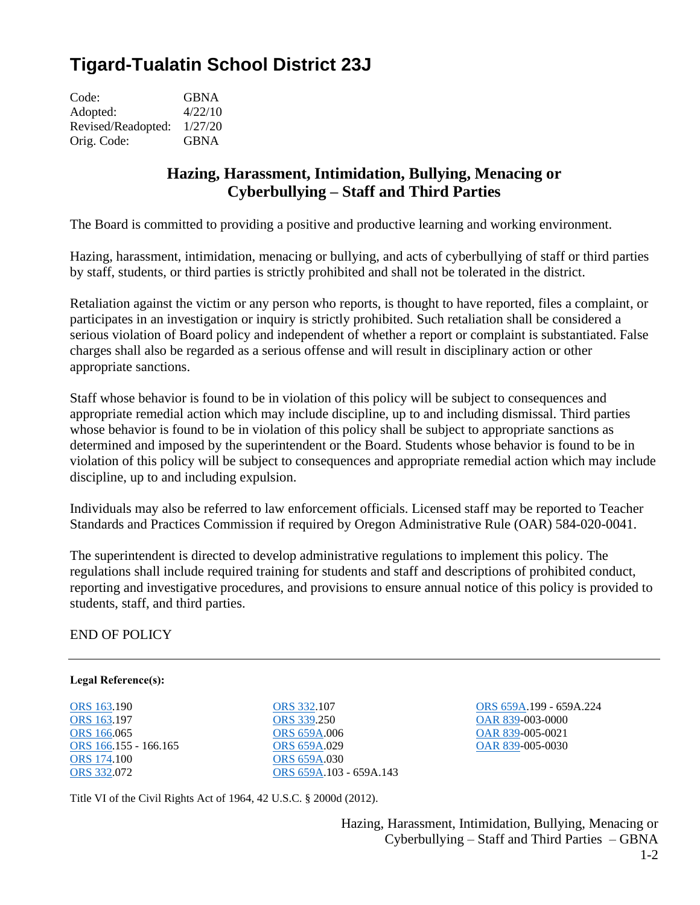## **Tigard-Tualatin School District 23J**

| Code:              | <b>GBNA</b> |
|--------------------|-------------|
| Adopted:           | 4/22/10     |
| Revised/Readopted: | 1/27/20     |
| Orig. Code:        | <b>GBNA</b> |

## **Hazing, Harassment, Intimidation, Bullying, Menacing or Cyberbullying – Staff and Third Parties**

The Board is committed to providing a positive and productive learning and working environment.

Hazing, harassment, intimidation, menacing or bullying, and acts of cyberbullying of staff or third parties by staff, students, or third parties is strictly prohibited and shall not be tolerated in the district.

Retaliation against the victim or any person who reports, is thought to have reported, files a complaint, or participates in an investigation or inquiry is strictly prohibited. Such retaliation shall be considered a serious violation of Board policy and independent of whether a report or complaint is substantiated. False charges shall also be regarded as a serious offense and will result in disciplinary action or other appropriate sanctions.

Staff whose behavior is found to be in violation of this policy will be subject to consequences and appropriate remedial action which may include discipline, up to and including dismissal. Third parties whose behavior is found to be in violation of this policy shall be subject to appropriate sanctions as determined and imposed by the superintendent or the Board. Students whose behavior is found to be in violation of this policy will be subject to consequences and appropriate remedial action which may include discipline, up to and including expulsion.

Individuals may also be referred to law enforcement officials. Licensed staff may be reported to Teacher Standards and Practices Commission if required by Oregon Administrative Rule (OAR) 584-020-0041.

The superintendent is directed to develop administrative regulations to implement this policy. The regulations shall include required training for students and staff and descriptions of prohibited conduct, reporting and investigative procedures, and provisions to ensure annual notice of this policy is provided to students, staff, and third parties.

END OF POLICY

## **Legal Reference(s):**

[ORS 163.](http://policy.osba.org/orsredir.asp?ors=ors-163)190 [ORS 163.](http://policy.osba.org/orsredir.asp?ors=ors-163)197 [ORS 166.](http://policy.osba.org/orsredir.asp?ors=ors-166)065 [ORS 166.](http://policy.osba.org/orsredir.asp?ors=ors-166)155 - 166.165 [ORS 174.](http://policy.osba.org/orsredir.asp?ors=ors-174)100 [ORS 332.](http://policy.osba.org/orsredir.asp?ors=ors-332)072

[ORS 332.](http://policy.osba.org/orsredir.asp?ors=ors-332)107 [ORS 339.](http://policy.osba.org/orsredir.asp?ors=ors-339)250 [ORS 659A.](http://policy.osba.org/orsredir.asp?ors=ors-659a)006 [ORS 659A.](http://policy.osba.org/orsredir.asp?ors=ors-659a)029 [ORS 659A.](http://policy.osba.org/orsredir.asp?ors=ors-659a)030 [ORS 659A.](http://policy.osba.org/orsredir.asp?ors=ors-659a)103 - 659A.143

[ORS 659A.](http://policy.osba.org/orsredir.asp?ors=ors-659a)199 - 659A.224 [OAR 839-](http://policy.osba.org/orsredir.asp?ors=oar-839)003-0000 [OAR 839-](http://policy.osba.org/orsredir.asp?ors=oar-839)005-0021 [OAR 839-](http://policy.osba.org/orsredir.asp?ors=oar-839)005-0030

Title VI of the Civil Rights Act of 1964, 42 U.S.C. § 2000d (2012).

Hazing, Harassment, Intimidation, Bullying, Menacing or Cyberbullying – Staff and Third Parties – GBNA